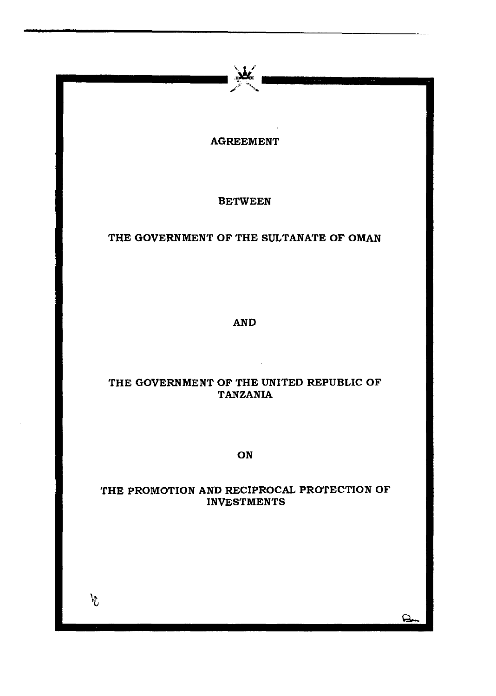

BETWEEN

# THE GOVERNMENT OF THE SULTANATE OF OMAN

AND

# THE GOVERNMENT OF THE UNITED REPUBLIC OF TANZANIA

ON

# THE PROMOTION AND RECIPROCAL PROTECTION OF INVESTMENTS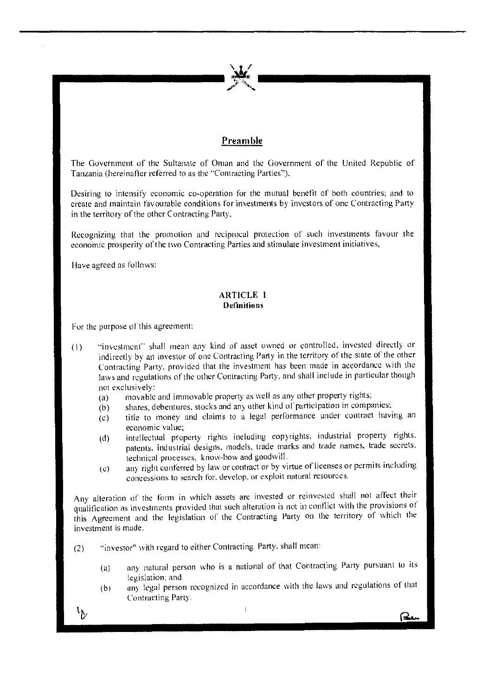# **Preamble**

The Government of the Sultanate of Oman and the Government of the United Republic of Tanzania (hereinafter referred to as the "Contracting Parties").

Desiring to intensify economic co-operation for the mutual benefit of both countries; and to create and maintain favourable conditions for investments by investors of one Contracting Party in the territory of the other Contracting Party.

Recognizing that the promotion and reciprocal protection of such investments favour the **economic prosperity of the two Contracting Parties and stimulate investment initiatives,** 

Have agreed as follows:

# **ARTICLE I Definitions**

For the purpose of this agreement:

- (I) "investment" shall mean any kind of asset owned or controlled, invested directly or indirectly by an investor of one Contracting Party in the territory of the state of the other Contracting Party, provided that the investment has been made in accordance with the laws and regulations of the other Contracting Party, and shall include in particular though **not exclusively:** 
	- (a) movable and immovable property as well as any other property rights;
	- $(b)$  shares, debentures, stocks and any other kind of participation in companies;
	- (c) title to money and claims to a legal perlormance under contract having an **economic value;**
	- (d) intellectual property rights including copyrights. industrial property rights. patents. industrial designs. models, trade marks and trade names. trade secrets, technical prucesses. know-how and goodwill.
	- (c) an) right conterred by law or contract or by virtue of licenses or permits including  $c$  one essions to search for, develop, or exploit natural resources.

Any alteration of the form in which assets are invested or reinvested shall not affect their qualification as investments provided that such alteration is not in conflict with the provisions of this Agreement and the legislation or the Contracting Party on the territory of which the **investment is made.** 

- (2) "investor" with regard to either Contracting Party. shall mean:
	- (a) **any natural person \.Vho is a national of that Contracting Party pursuant to its legislation: and**
	- (b) any legal person recognized in accordance with the laws and regulations of that **Contracting Party.**

(⊰.

 $^{\mathfrak{b}}$ 

 $\mathbf{l}$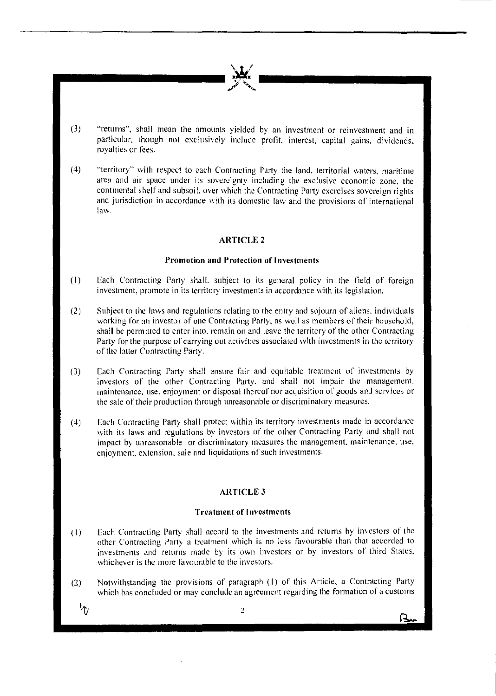(3) "returns", shall mean the amounts yielded by an investment or reinvestment and in particular. though not exclusively include profit. interest. capital gains. dividends. royalties or fees.

-------/''.. ~ \_\_\_\_\_\_ \_

(4) "territory" with respect to each Contracting Party the land. territorial waters, maritime area and air space under its sovereignty including the exclusive economic zone. the continental shelf and subsoil. over which the Contracting Party exercises sovereign rights and jurisdiction in accordance with its domestic law and the provisions of international law.

## **ARTICLE 2**

#### **Promotion and Protection of Investments**

- (I) Each Contracting Party shall. subject to its general policy in the tield of foreign **investment, promote in its territory investments in accordance with its legislation.**
- (2) Subject to the laws and regulations relating to the entry and sojourn of aliens, individuals working for an investor of one Contracting Party, as well as members of their household, shall be permitted to enter into, remain on and leave the territory of the other Contracting Party for the purpose of carrying out activities associated with investments in the territory of the latter Contracting Party.
- (3) Each Contracting Party shall ensure fair and equitable treatment of investments by investors of the other Contracting Party, and shall not impair the management, **maintenance**, use, enjoyment or disposal thereof nor acquisition of goods and services or the sale of their production through unreasonable or discriminatory measures.
- (4) Each Contracting Party shall protect within its territory investments made in accordance with its laws and regulations by investors of the other Contracting Party and shall not **impact by unreasonable or discriminatory measures the management. maintenance. use.**  enjoyment, extension. sale and liquidations of such investments.

#### **ARTICLE3**

#### **Trca tment of I m·cs tmcn ts**

- (1) Each Contracting Party shall accord to the investments and returns by investors of the other Contracting Party a treatment which is no less favourable than that accorded to investments and returns made by its own investors or by investors or third States, whichever is the more favourable to the investors.
- (2) Notwithstanding the provisions of paragraph (I) of this Article, a Contracting l'arty which has concluded or may conclude an agreement regarding the formation of a customs

 $^{\mathrm{t}}$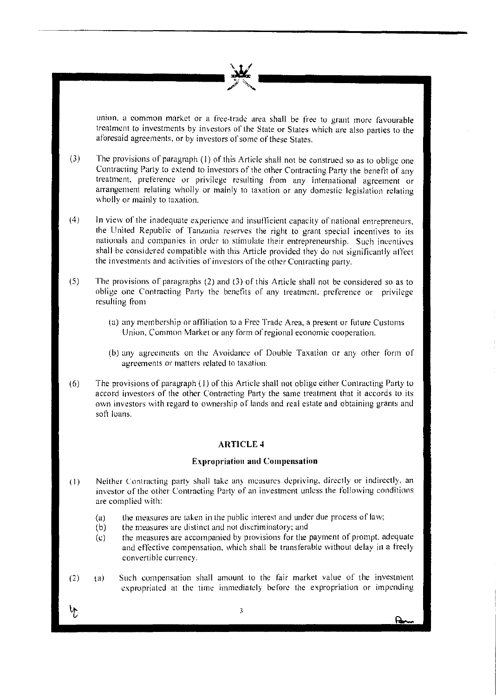**union. a common market or a free-trade area shall be free to grant more favourable**  treatment to investments by investors of the State or States which are also parties to the aforesaid agreements, or by investors of some of these States.

- (3) The provisions of paragraph (I) of this Article shall not be construed so as to oblige one Contracting Party to extend to investors of the other Contracting Party the benefit of any treatment, preference or privilege resulting from any international agreement or arrangement relating wholly or mainly to taxation or any domestic legislation relating wholly or mainly to taxation.
- (4) In view of the inadequate experience and insu!'licient capacity of national entrepreneurs, the United Republic of Tanzania reserves the right to grant special incentives to its nationals and companies in order to stimulate their entrepreneurship. Such incentives shall be considered compatible with this Article provided they do not significantly affect the investments and activities of investors of the other Contracting party.
- (5) The provisions of paragraphs (2) and (3) or this Article shall not be considered so as to oblige one Contracting Party the benefits of any treatment, preference or privilege resulting from
	- (a) any membership or affiliation to a Free Trade Area, a present or future Customs Union, Common Market or any form of regional economic cooperation.
	- (b) any agreements on the Avoidance of Double Taxation or any other form of **agreements or matters related to taxation.**
- (6) The provisions of paragraph (I) of this Article shall not oblige either Contracting Party to accord investors of the other Contracting Party the same treatment that it accords to its own investors with regard to ownership of lands and real estate and obtaining grants and **soft loans.**

### **ARTICLE 4**

#### **Expropriation and Compensation**

- (1) Neither Contracting party shall take any measures depriving, directly or indirectly, an investor of the other Contracting Party of an investment unless the following conditions are complied with:
	- (a) the measures are taken in the public interest and under due process of law;
	- (b) the measures are distinct and not discriminatory; and
	- (c) the measures are accompanied by provisions for the payment of prompt. adequate and effective compensation, which shall be transferable without delay in a freely **convertible currency.**
- (2) (a) Such compensation shall amount to the lair market value of the investment expropriated at the time immediately before the expropriation or impending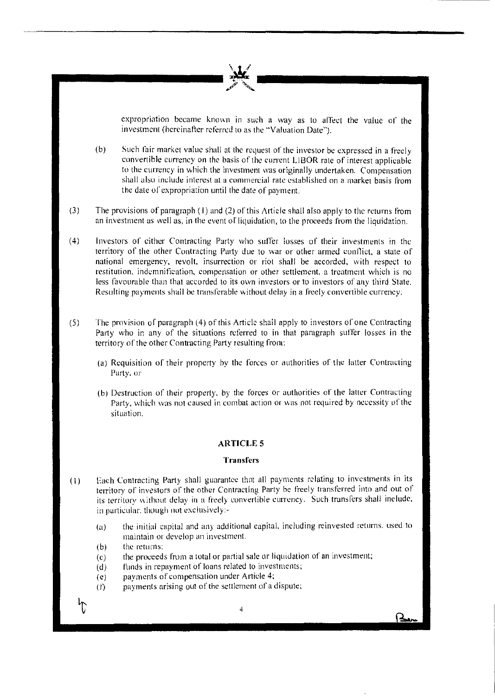

expropriation became known in such a way as to affect the value of the investment (hereinafter referred to as the "Valuation Date").

- (b) Such fair market value shall at the request of the investor be expressed in a freely convertible currency on the basis of the current LIBOR rate of interest applicable to the currency in which the investment was originally undertaken. Compensation shall also include interest at a commercial rate established on a market basis from the date of expropriation until the date of payment.
- (3) The provisions of paragraph (I) and (2) of this Article shall also apply to the returns from an investment as well as, in the event ol"liquidation, to the proceeds from the liquidation.
- ( 4) Investors of either Contracting Party who suffer losses of their investments in the territory of the other Contracting Party due to war or other armed conflict, a state of national emergency, revolt, insurrection or riot shall be accorded, with respect to **restitution, indcmnitication. compensation or other settlement. a treatment which is no**  less favourable than that accorded to its own investors or to investors of any third State. Resulting payments shall be transferable without delay in a freely convertible currency.
- (5) The provision of paragraph (4) of this Article shall apply to investors of one Contracting Party who in any of the situations referred to in that paragraph suffer losses in the territory of the other Contracting Party resulting from:
	- (a) Requisition of their property by the forces or authorities of the latter Contracting Party. or
	- (bi Destruction of their properly. by the forces or authorities of the latter Contracting Party, which was not caused in combat action or was not required by necessity of the **situation.**

### **ARTICLE 5**

## **Transfers**

- $(1)$ Each Contracting Party shall guarantee that all payments relating to investments in its territory of investors of the other Contracting Party be freely transferred into and out of its territory without delay in a freely convertible currency. Such transfers shall include, in particular, though not exclusively:-
	- (a) the initial capital and any additional capital, including reinvested returns. used to **maintain or develop an investment.**
	- (b) **the returns:**
	- (c) the proceeds from a total or partial sale or liquidation of an investment;
	- (d) funds in repayment of loans related to investments;
	- $(e)$ payments of compensation under Article 4;
	- (f) payments arising out of the settlement of a dispute;

4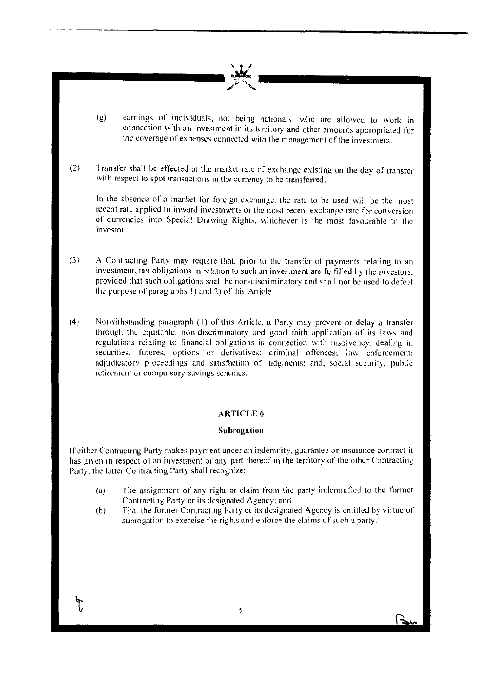

- (g) earnings of individuals, not being nationals, who are allowed to work in connection with an investment in its territory and other amounts appropriated for the coverage of expenses connected with the management of the investment.
- (2) Transfer shall be effected at the market rate of exchange existing on the day of transfer with respect to spot transactions in the currency to be transferred.

In the absence of a market for foreign exchange, the rate to be used will be the most recent rate applied to inward investments or the most recent exchange rate for conversion of currencies into Special Drawing Rights, whichever is the most favourable to the **investor.** 

- (3) A Contracting Party may require that, prior to the transfer of payments relating to an investment. tax obligations in relation to such an investment are fulfilled by the investors, provided that such obligations shall be non-discriminatory and shall not be used to defeat the purpose of paragraphs I) and 2) of this Article.
- (4) Notwithstanding paragraph **(f)** of this Article. a Party may prevent or delay a transfer through the equitable, non-discriminatory and good faith application of its laws and **regulations relating to linancial obligations in connection with insolvency: dealing in**  securities. **futures.** options or derivatives; criminal offences; law enforcement; adjudicatory proceedings and satisfaction of judgments; and, social security, public **retirement or compulsory savings schemes.**

# **ARTICLE 6**

#### **Su broga lion**

**If either Contracting Par1y makes payment Linder an indemnity. guarante'.! or insurance contract it**  has given in respect of an investment or any part thereof in the terrrtory of the other Contracting Party. the latter Contracting Party shall recognize:

- (a) The assignment of any right or claim from the party indemnified to the former Contracting Party or its designated Agency: and
- (b) That the former Contracting Party or its designated Agency is entitled by virtue of **subrogation to exercise the rights and enforce the claims of such a party.**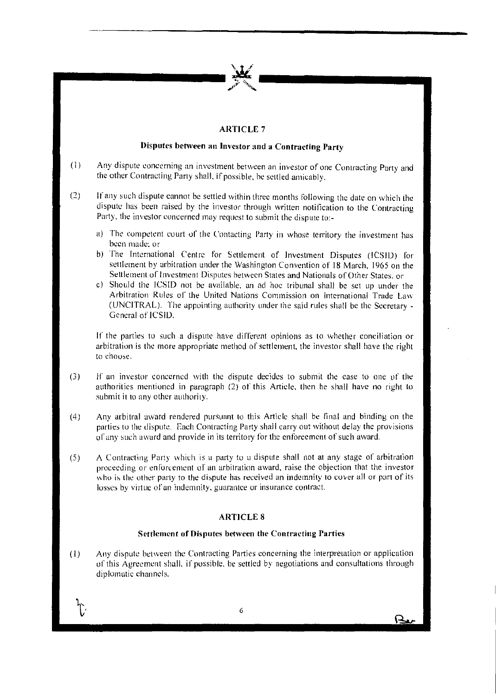

# **ARTICLE** 7

# **Disputes between an Investor and a Contracting l'arty**

- **(I) Any dispute concerning an investment bet\veen an investor of one Contracting Party and**  the other Contracting Party shall, if possible, be settled amicably.
- (2) If any such dispute cannot be settled within three months following the date on which the dispute has been raised by the investor through written notification to the Contracting Party. the investor concerned may request to submit the dispute to:
	- a) The competent court of the Contacting Party in whose territory the investment has **been made: or**
	- b) The International Centre for Settlement of Investment Disputes (ICSID) for settlement by arbitration under the Washington Convention of 18 March. 1965 on the Settlement of Investment Disputes between States and Nationals of Other States, or
	- c) Should the ICSID not be available, an ad hoc tribunal shall be set up under the Arbitration Rules of' the United Nations Commission on International Trade Law (UNCITRAL). The appointing authority under the said rules shall be the Secretary - General of ICSID.

If the parties to such a dispute have different opinions as to whether conciliation or arbitration is the more appropriate method of settlement, the investor shall have the right to choose.

- (3) If an investor concerned with the dispute decides to submit the case to one uf the authorities mentioned in paragraph  $(2)$  of this Article, then he shall have no right to submit it to any other authority.
- (4) Any arbitral award rendered pursuant to this Article shall be final and binding on the parties to the dispute. Each Contracting Party shall carry out without delay the provisions ol' any such award and provide in its territory for the enforcement of such award.
- $(5)$  is A Contracting Party which is a party to a dispute shall not at any stage of arbitration proceeding or enforcement of an arbitration award, raise the objection that the investor who is the other party to the dispute has received an indemnity to cover all or part of its **losses by virtue of un indemnity. guarantee or insurance contract.**

## **AHTICLE 8**

# **Settlement of Disputes between the Contracting Parties**

 $(1)$ Any dispute between the Contracting Parties concerning the interpretation or application of this Agreement shall. if possible. be settled by negotiations and consultations through diplomatic channels.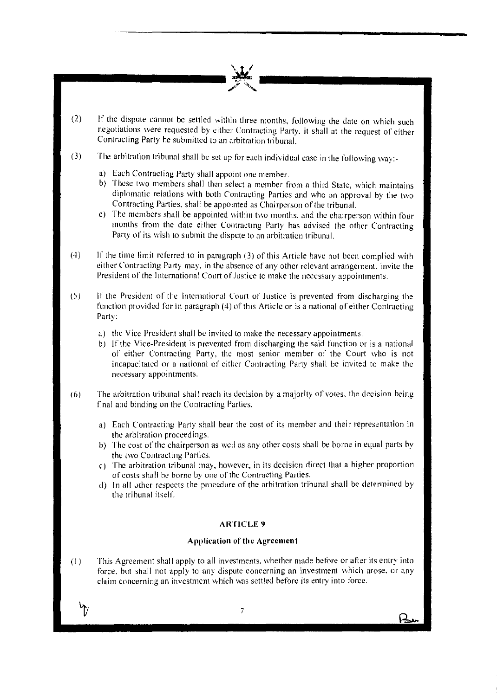

- (2) If the dispute cannot be settled within three months, following the date on which such negotiations were requested by either Contracting Party. it shall at the request of either Contracting Party he submitted to an arbitration tribunal.
- (3) The arbitration tribunal shall be set up for each individual case in the following way:
	- a) Each Contracting Party shall appoint one member.
	- b) These two members shall then select a member from a third State, which maintains diplomatic relations with both Contracting Panics and who on approval by the two Contracting Parties. shall be appointed as Chairperson of the tribunal.
	- c) The members shall be appointed within two months. and the chairperson within tour months from the date either Contracting Puny has advised the other Contracting Party of its wish to submit the dispute to an arbitration tribunal.
- ( 4) If the time limit referred to in paragraph (3) of this Article have not been complied with either Contracting Party may, in the absence of any other relevant arrangement, invite the President of' the International Court of Justice to make the necessary appointments.
- (5) It' the President of the International Court of Justice is prevented from discharging the function provided for in paragraph (4) of this Article or is a national of either Contracting Party:
	- a) the Vice President shall be invited to make the necessary appointments.
	- b) If the Vice-President is prevented from discharging the said function or is a national of either Contracting Party, the most senior member of the Court who is not incapacitated or a national of either Contracting Party shall be invited to make the ne~.:essary **appointments.**
- (6) The arbitration tribunal shall reach its decision by a majority of votes. the decision being tina! and binding on the Contracting Parties.
	- a) Each Contracting Party shall bear the cost of its member and their representation in the arbitration proceedings.
	- b) The cost of the chairperson as well as any other costs shall be borne in equal parts by the two Contracting Parties.
	- c) The arbitration tribunal may. however, in its decision direct that a higher proportion of costs shall be borne by one of the Contracting Parties.
	- d) **1** n all other respects the pmcedure of the arbitration tribunal shall be determined by the tribunal itself.

## **ARTICLE 9**

## **Application of the Agreement**

(I) This Agreement shall apply to all investments, whether made before or after its entry into force. hut shall not apply to any dispute concerning an investment which arose. or any claim concerning an investment which was settled before its entry into Ioree.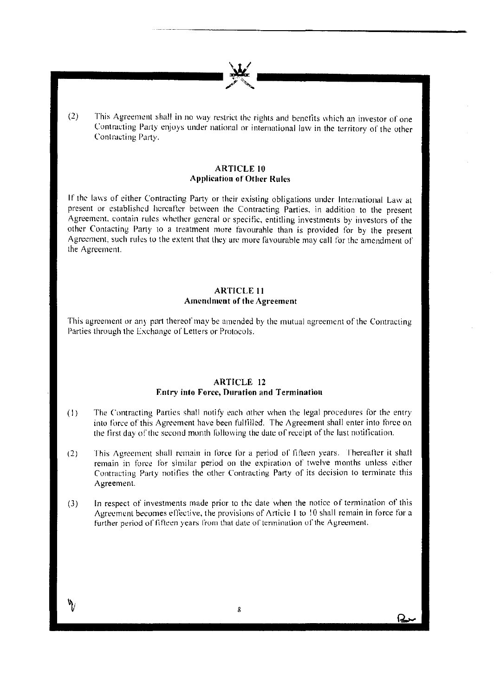$(2)$  This Agreement shall in no way restrict the rights and benefits which an investor of one Contracting Party enjoys under national or international law in the territory of the other Contracting Party.

 $\frac{1}{2}$ 

## **ARTICLE 10 Application or Other Rules**

If the laws of either Contracting Party or their existing obligations under International Law at present or established hereafter between the Contracting Parties. in addition to the present Agreement. contain rules whether general or specific. entitling investments by investors of the other Contacting Party to a treatment more favourahle than is provided for by the present Agreement. such rules to the extent that they ure more favourable may call for the amendment of the Agreement.

# **ARTICLE II Amendment of the Agreement**

This agreement or any part thereof may be amended by the mutual agreement of the Contracting Parties through the Exchange of Letters or Protocols.

## **ARTICLE 12 Entry into Force, Duration and Termination**

- $(1)$ The Contracting Parties shall notify each other when the legal procedures for the entry into force of this Agreement have been fulfilled. The Agreement shall enter into force on the first day of the second month following the date of receipt of the last notification.
- (2) This Agreement shall remain in force for a period of fifteen years. Thereafter it shaff remain in force for similar period on the expiration of twelve months unless either Contracting Party notifies the other Contracting Party of its decision to terminate this **Agreement.**
- (3) In respect of investments made prior to the date when the notice of termination of this Agreement becomes effective, the provisions of Article I to 10 shall remain in force for a further period of fifteen years from that date of termination of the Agreement.